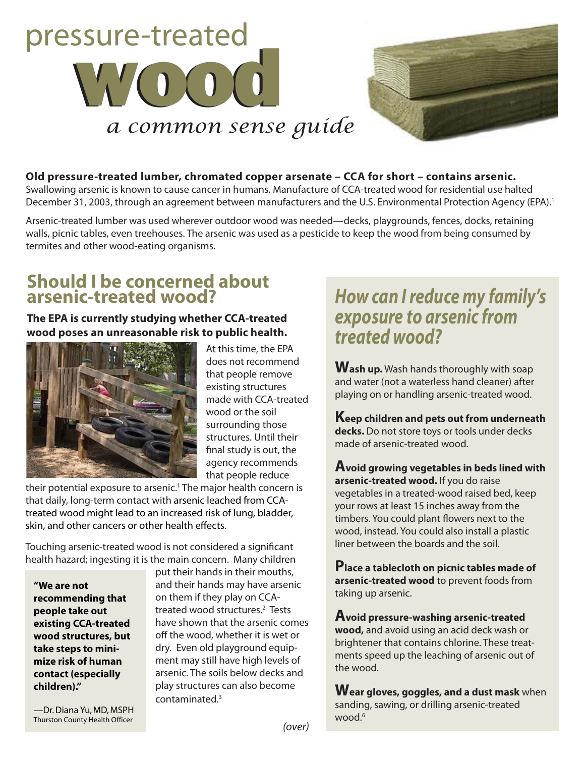



### **Old pressure-treated lumber, chromated copper arsenate – CCA for short – contains arsenic.**

Swallowing arsenic is known to cause cancer in humans. Manufacture of CCA-treated wood for residential use halted December 31, 2003, through an agreement between manufacturers and the U.S. Environmental Protection Agency (EPA).<sup>1</sup>

Arsenic-treated lumber was used wherever outdoor wood was needed—decks, playgrounds, fences, docks, retaining walls, picnic tables, even treehouses. The arsenic was used as a pesticide to keep the wood from being consumed by termites and other wood-eating organisms.

### **Should I be concerned about arsenic-treated wood?**

**The EPA is currently studying whether CCA-treated wood poses an unreasonable risk to public health.**



At this time, the EPA does not recommend that people remove existing structures made with CCA-treated wood or the soil surrounding those structures. Until their final study is out, the agency recommends that people reduce

their potential exposure to arsenic.<sup>1</sup> The major health concern is that daily, long-term contact with arsenic leached from CCAtreated wood might lead to an increased risk of lung, bladder, skin, and other cancers or other health effects.

Touching arsenic-treated wood is not considered a significant health hazard; ingesting it is the main concern. Many children

**"We are not recommending that people take out existing CCA-treated wood structures, but take steps to minimize risk of human contact (especially children)."**

put their hands in their mouths, and their hands may have arsenic on them if they play on CCAtreated wood structures.<sup>2</sup> Tests have shown that the arsenic comes off the wood, whether it is wet or dry. Even old playground equipment may still have high levels of arsenic. The soils below decks and play structures can also become contaminated.3

## *How can I reduce my family's exposure to arsenic from treated wood?*

**Wash up.** Wash hands thoroughly with soap and water (not a waterless hand cleaner) after playing on or handling arsenic-treated wood.

**Keep children and pets out from underneath decks.** Do not store toys or tools under decks made of arsenic-treated wood.

**Avoid growing vegetables in beds lined with arsenic-treated wood.** If you do raise vegetables in a treated-wood raised bed, keep your rows at least 15 inches away from the timbers. You could plant flowers next to the wood, instead. You could also install a plastic liner between the boards and the soil.

**Place a tablecloth on picnic tables made of arsenic-treated wood** to prevent foods from taking up arsenic.

**Avoid pressure-washing arsenic-treated wood,** and avoid using an acid deck wash or brightener that contains chlorine. These treatments speed up the leaching of arsenic out of the wood.

**Wear gloves, goggles, and a dust mask** when sanding, sawing, or drilling arsenic-treated wood  $6$ 

—Dr. Diana Yu, MD, MSPH Thurston County Health Officer